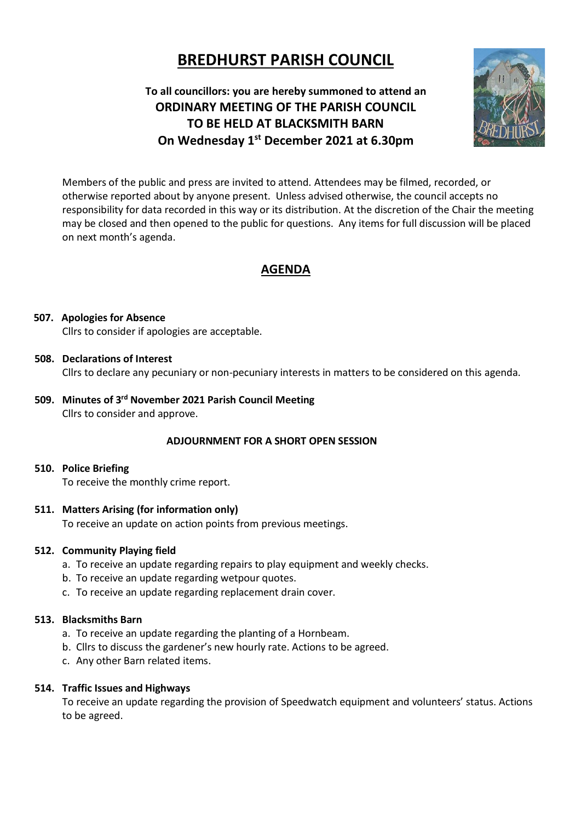# **BREDHURST PARISH COUNCIL**

**To all councillors: you are hereby summoned to attend an ORDINARY MEETING OF THE PARISH COUNCIL TO BE HELD AT BLACKSMITH BARN On Wednesday 1 st December 2021 at 6.30pm**



Members of the public and press are invited to attend. Attendees may be filmed, recorded, or otherwise reported about by anyone present. Unless advised otherwise, the council accepts no responsibility for data recorded in this way or its distribution. At the discretion of the Chair the meeting may be closed and then opened to the public for questions. Any items for full discussion will be placed on next month's agenda.

## **AGENDA**

#### **507. Apologies for Absence**

Cllrs to consider if apologies are acceptable.

#### **508. Declarations of Interest**

Cllrs to declare any pecuniary or non-pecuniary interests in matters to be considered on this agenda.

**509. Minutes of 3 rd November 2021 Parish Council Meeting**  Cllrs to consider and approve.

#### **ADJOURNMENT FOR A SHORT OPEN SESSION**

#### **510. Police Briefing**

To receive the monthly crime report.

#### **511. Matters Arising (for information only)**

To receive an update on action points from previous meetings.

#### **512. Community Playing field**

- a. To receive an update regarding repairs to play equipment and weekly checks.
- b. To receive an update regarding wetpour quotes.
- c. To receive an update regarding replacement drain cover.

## **513. Blacksmiths Barn**

- a. To receive an update regarding the planting of a Hornbeam.
- b. Cllrs to discuss the gardener's new hourly rate. Actions to be agreed.
- c. Any other Barn related items.

#### **514. Traffic Issues and Highways**

To receive an update regarding the provision of Speedwatch equipment and volunteers' status. Actions to be agreed.